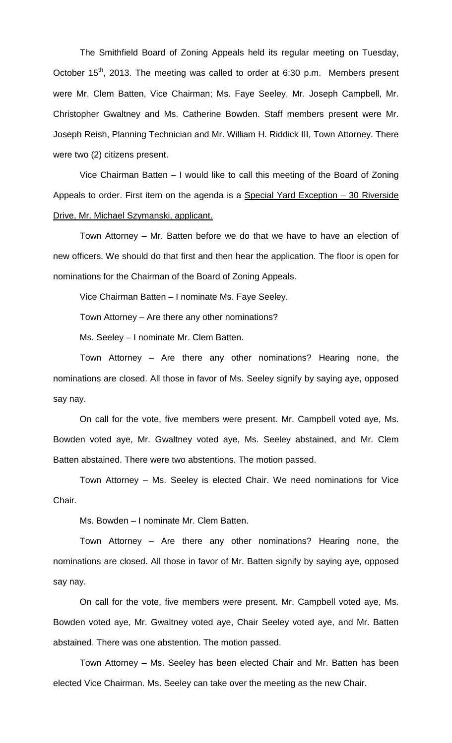The Smithfield Board of Zoning Appeals held its regular meeting on Tuesday, October 15<sup>th</sup>, 2013. The meeting was called to order at 6:30 p.m. Members present were Mr. Clem Batten, Vice Chairman; Ms. Faye Seeley, Mr. Joseph Campbell, Mr. Christopher Gwaltney and Ms. Catherine Bowden. Staff members present were Mr. Joseph Reish, Planning Technician and Mr. William H. Riddick III, Town Attorney. There were two (2) citizens present.

Vice Chairman Batten – I would like to call this meeting of the Board of Zoning Appeals to order. First item on the agenda is a Special Yard Exception – 30 Riverside Drive, Mr. Michael Szymanski, applicant.

Town Attorney – Mr. Batten before we do that we have to have an election of new officers. We should do that first and then hear the application. The floor is open for nominations for the Chairman of the Board of Zoning Appeals.

Vice Chairman Batten – I nominate Ms. Faye Seeley.

Town Attorney – Are there any other nominations?

Ms. Seeley – I nominate Mr. Clem Batten.

Town Attorney – Are there any other nominations? Hearing none, the nominations are closed. All those in favor of Ms. Seeley signify by saying aye, opposed say nay.

On call for the vote, five members were present. Mr. Campbell voted aye, Ms. Bowden voted aye, Mr. Gwaltney voted aye, Ms. Seeley abstained, and Mr. Clem Batten abstained. There were two abstentions. The motion passed.

Town Attorney – Ms. Seeley is elected Chair. We need nominations for Vice Chair.

Ms. Bowden – I nominate Mr. Clem Batten.

Town Attorney – Are there any other nominations? Hearing none, the nominations are closed. All those in favor of Mr. Batten signify by saying aye, opposed say nay.

On call for the vote, five members were present. Mr. Campbell voted aye, Ms. Bowden voted aye, Mr. Gwaltney voted aye, Chair Seeley voted aye, and Mr. Batten abstained. There was one abstention. The motion passed.

Town Attorney – Ms. Seeley has been elected Chair and Mr. Batten has been elected Vice Chairman. Ms. Seeley can take over the meeting as the new Chair.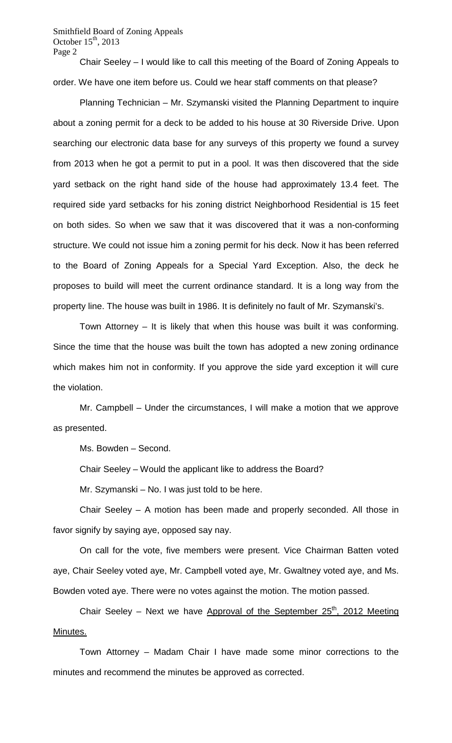Smithfield Board of Zoning Appeals October  $15<sup>th</sup>$ , 2013 Page 2

Chair Seeley – I would like to call this meeting of the Board of Zoning Appeals to order. We have one item before us. Could we hear staff comments on that please?

Planning Technician – Mr. Szymanski visited the Planning Department to inquire about a zoning permit for a deck to be added to his house at 30 Riverside Drive. Upon searching our electronic data base for any surveys of this property we found a survey from 2013 when he got a permit to put in a pool. It was then discovered that the side yard setback on the right hand side of the house had approximately 13.4 feet. The required side yard setbacks for his zoning district Neighborhood Residential is 15 feet on both sides. So when we saw that it was discovered that it was a non-conforming structure. We could not issue him a zoning permit for his deck. Now it has been referred to the Board of Zoning Appeals for a Special Yard Exception. Also, the deck he proposes to build will meet the current ordinance standard. It is a long way from the property line. The house was built in 1986. It is definitely no fault of Mr. Szymanski's.

Town Attorney – It is likely that when this house was built it was conforming. Since the time that the house was built the town has adopted a new zoning ordinance which makes him not in conformity. If you approve the side yard exception it will cure the violation.

Mr. Campbell – Under the circumstances, I will make a motion that we approve as presented.

Ms. Bowden – Second.

Chair Seeley – Would the applicant like to address the Board?

Mr. Szymanski – No. I was just told to be here.

Chair Seeley – A motion has been made and properly seconded. All those in favor signify by saying aye, opposed say nay.

On call for the vote, five members were present. Vice Chairman Batten voted aye, Chair Seeley voted aye, Mr. Campbell voted aye, Mr. Gwaltney voted aye, and Ms. Bowden voted aye. There were no votes against the motion. The motion passed.

Chair Seeley - Next we have Approval of the September 25<sup>th</sup>, 2012 Meeting Minutes.

Town Attorney – Madam Chair I have made some minor corrections to the minutes and recommend the minutes be approved as corrected.